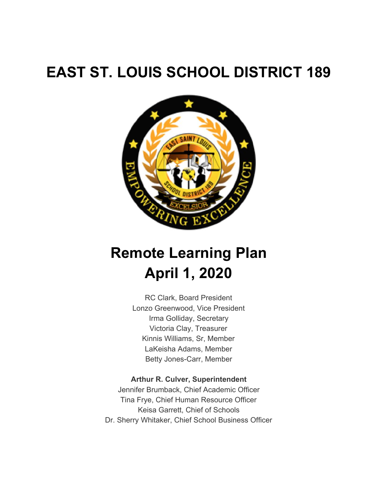# **EAST ST. LOUIS SCHOOL DISTRICT 189**



# **Remote Learning Plan April 1, 2020**

RC Clark, Board President Lonzo Greenwood, Vice President Irma Golliday, Secretary Victoria Clay, Treasurer Kinnis Williams, Sr, Member LaKeisha Adams, Member Betty Jones-Carr, Member

#### **Arthur R. Culver, Superintendent**

Jennifer Brumback, Chief Academic Officer Tina Frye, Chief Human Resource Officer Keisa Garrett, Chief of Schools Dr. Sherry Whitaker, Chief School Business Officer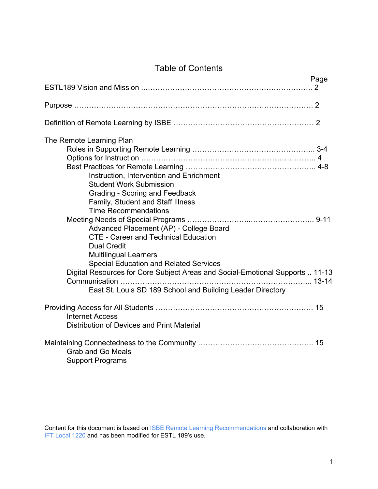## Table of Contents

|                                                                                                                                                                                                                                                                                                                                     | Page |
|-------------------------------------------------------------------------------------------------------------------------------------------------------------------------------------------------------------------------------------------------------------------------------------------------------------------------------------|------|
|                                                                                                                                                                                                                                                                                                                                     |      |
|                                                                                                                                                                                                                                                                                                                                     |      |
|                                                                                                                                                                                                                                                                                                                                     |      |
| The Remote Learning Plan<br>Instruction, Intervention and Enrichment<br><b>Student Work Submission</b><br>Grading - Scoring and Feedback<br><b>Family, Student and Staff Illness</b><br><b>Time Recommendations</b><br>Advanced Placement (AP) - College Board<br><b>CTE - Career and Technical Education</b><br><b>Dual Credit</b> |      |
| Multilingual Learners<br><b>Special Education and Related Services</b><br>Digital Resources for Core Subject Areas and Social-Emotional Supports  11-13<br>Communication<br>East St. Louis SD 189 School and Building Leader Directory                                                                                              |      |
| <b>Internet Access</b><br>Distribution of Devices and Print Material                                                                                                                                                                                                                                                                |      |
| <b>Grab and Go Meals</b><br><b>Support Programs</b>                                                                                                                                                                                                                                                                                 |      |

Content for this document is based on ISBE Remote Learning Recommendations and collaboration with IFT Local 1220 and has been modified for ESTL 189's use.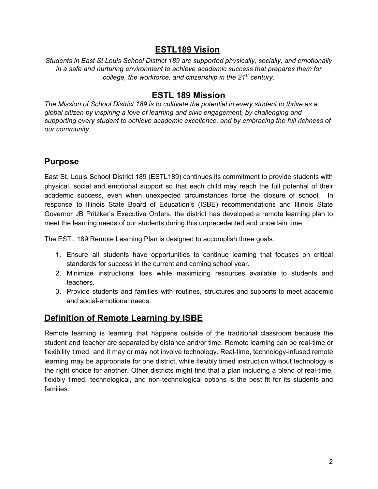## **ESTL189 Vision**

*Students in East St Louis School District 189 are supported physically, socially, and emotionally in a safe and nurturing environment to achieve academic success that prepares them for college, the workforce, and citizenship in the 21 st century.*

## **ESTL 189 Mission**

*The Mission of School District 189 is to cultivate the potential in every student to thrive as a global citizen by inspiring a love of learning and civic engagement, by challenging and supporting every student to achieve academic excellence, and by embracing the full richness of our community.*

### **Purpose**

East St. Louis School District 189 (ESTL189) continues its commitment to provide students with physical, social and emotional support so that each child may reach the full potential of their academic success, even when unexpected circumstances force the closure of school. In response to Illinois State Board of Education's (ISBE) recommendations and Illinois State Governor JB Pritzker's Executive Orders, the district has developed a remote learning plan to meet the learning needs of our students during this unprecedented and uncertain time.

The ESTL 189 Remote Learning Plan is designed to accomplish three goals.

- 1. Ensure all students have opportunities to continue learning that focuses on critical standards for success in the current and coming school year.
- 2. Minimize instructional loss while maximizing resources available to students and teachers.
- 3. Provide students and families with routines, structures and supports to meet academic and social-emotional needs.

## **Definition of Remote Learning by ISBE**

Remote learning is learning that happens outside of the traditional classroom because the student and teacher are separated by distance and/or time. Remote learning can be real-time or flexibility timed, and it may or may not involve technology. Real-time, technology-infused remote learning may be appropriate for one district, while flexibly timed instruction without technology is the right choice for another. Other districts might find that a plan including a blend of real-time, flexibly timed, technological, and non-technological options is the best fit for its students and families.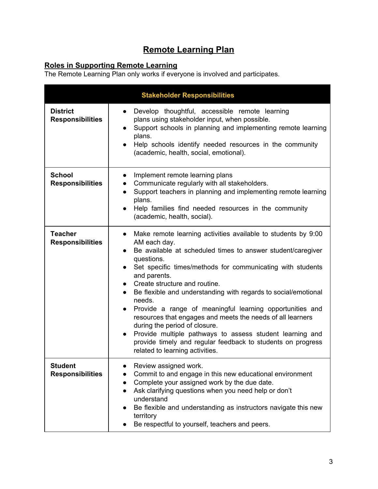## **Remote Learning Plan**

#### **Roles in Supporting Remote Learning**

The Remote Learning Plan only works if everyone is involved and participates.

|                                            | <b>Stakeholder Responsibilities</b>                                                                                                                                                                                                                                                                                                                                                                                                                                                                                                                                                                                                                                                                                       |
|--------------------------------------------|---------------------------------------------------------------------------------------------------------------------------------------------------------------------------------------------------------------------------------------------------------------------------------------------------------------------------------------------------------------------------------------------------------------------------------------------------------------------------------------------------------------------------------------------------------------------------------------------------------------------------------------------------------------------------------------------------------------------------|
| <b>District</b><br><b>Responsibilities</b> | Develop thoughtful, accessible remote learning<br>$\bullet$<br>plans using stakeholder input, when possible.<br>Support schools in planning and implementing remote learning<br>plans.<br>Help schools identify needed resources in the community<br>(academic, health, social, emotional).                                                                                                                                                                                                                                                                                                                                                                                                                               |
| <b>School</b><br><b>Responsibilities</b>   | Implement remote learning plans<br>$\bullet$<br>Communicate regularly with all stakeholders.<br>Support teachers in planning and implementing remote learning<br>$\bullet$<br>plans.<br>Help families find needed resources in the community<br>(academic, health, social).                                                                                                                                                                                                                                                                                                                                                                                                                                               |
| <b>Teacher</b><br><b>Responsibilities</b>  | Make remote learning activities available to students by 9:00<br>$\bullet$<br>AM each day.<br>Be available at scheduled times to answer student/caregiver<br>$\bullet$<br>questions.<br>• Set specific times/methods for communicating with students<br>and parents.<br>• Create structure and routine.<br>Be flexible and understanding with regards to social/emotional<br>$\bullet$<br>needs.<br>Provide a range of meaningful learning opportunities and<br>resources that engages and meets the needs of all learners<br>during the period of closure.<br>Provide multiple pathways to assess student learning and<br>provide timely and regular feedback to students on progress<br>related to learning activities. |
| <b>Student</b><br><b>Responsibilities</b>  | Review assigned work.<br>Commit to and engage in this new educational environment<br>Complete your assigned work by the due date.<br>$\bullet$<br>Ask clarifying questions when you need help or don't<br>$\bullet$<br>understand<br>Be flexible and understanding as instructors navigate this new<br>$\bullet$<br>territory<br>Be respectful to yourself, teachers and peers.                                                                                                                                                                                                                                                                                                                                           |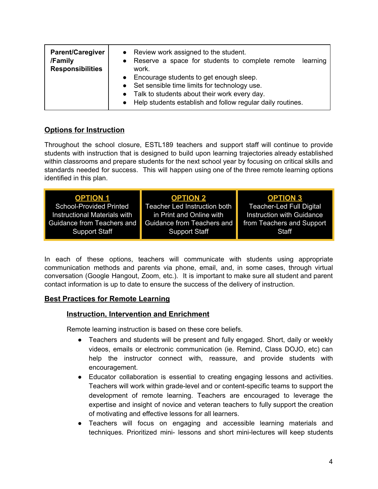| <b>Parent/Caregiver</b><br>/Family<br><b>Responsibilities</b> | • Review work assigned to the student.<br>Reserve a space for students to complete remote learning<br>work.<br>Encourage students to get enough sleep.<br>$\bullet$<br>• Set sensible time limits for technology use.<br>• Talk to students about their work every day.<br>• Help students establish and follow regular daily routines. |
|---------------------------------------------------------------|-----------------------------------------------------------------------------------------------------------------------------------------------------------------------------------------------------------------------------------------------------------------------------------------------------------------------------------------|
|---------------------------------------------------------------|-----------------------------------------------------------------------------------------------------------------------------------------------------------------------------------------------------------------------------------------------------------------------------------------------------------------------------------------|

#### **Options for Instruction**

Throughout the school closure, ESTL189 teachers and support staff will continue to provide students with instruction that is designed to build upon learning trajectories already established within classrooms and prepare students for the next school year by focusing on critical skills and standards needed for success. This will happen using one of the three remote learning options identified in this plan.

| <b>OPTION 1</b>              | <b>OPTION 2</b>              | <b>OPTION 3</b>                  |
|------------------------------|------------------------------|----------------------------------|
| School-Provided Printed      | Teacher Led Instruction both | <b>Teacher-Led Full Digital</b>  |
| Instructional Materials with | in Print and Online with     | <b>Instruction with Guidance</b> |
| Guidance from Teachers and   | Guidance from Teachers and   | from Teachers and Support        |
| <b>Support Staff</b>         | <b>Support Staff</b>         | Staff                            |
|                              |                              |                                  |

In each of these options, teachers will communicate with students using appropriate communication methods and parents via phone, email, and, in some cases, through virtual conversation (Google Hangout, Zoom, etc.). It is important to make sure all student and parent contact information is up to date to ensure the success of the delivery of instruction.

#### **Best Practices for Remote Learning**

#### **Instruction, Intervention and Enrichment**

Remote learning instruction is based on these core beliefs.

- Teachers and students will be present and fully engaged. Short, daily or weekly videos, emails or electronic communication (ie. Remind, Class DOJO, etc) can help the instructor connect with, reassure, and provide students with encouragement.
- Educator collaboration is essential to creating engaging lessons and activities. Teachers will work within grade-level and or content-specific teams to support the development of remote learning. Teachers are encouraged to leverage the expertise and insight of novice and veteran teachers to fully support the creation of motivating and effective lessons for all learners.
- Teachers will focus on engaging and accessible learning materials and techniques. Prioritized mini- lessons and short mini-lectures will keep students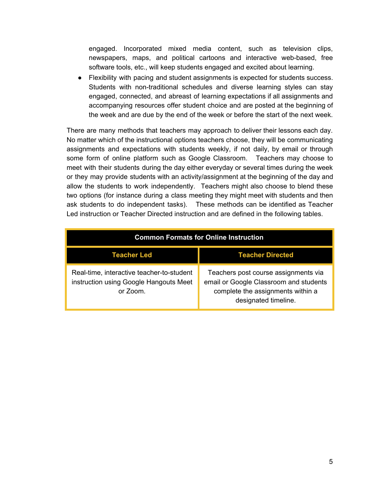engaged. Incorporated mixed media content, such as television clips, newspapers, maps, and political cartoons and interactive web-based, free software tools, etc., will keep students engaged and excited about learning.

● Flexibility with pacing and student assignments is expected for students success. Students with non-traditional schedules and diverse learning styles can stay engaged, connected, and abreast of learning expectations if all assignments and accompanying resources offer student choice and are posted at the beginning of the week and are due by the end of the week or before the start of the next week.

There are many methods that teachers may approach to deliver their lessons each day. No matter which of the instructional options teachers choose, they will be communicating assignments and expectations with students weekly, if not daily, by email or through some form of online platform such as Google Classroom. Teachers may choose to meet with their students during the day either everyday or several times during the week or they may provide students with an activity/assignment at the beginning of the day and allow the students to work independently. Teachers might also choose to blend these two options (for instance during a class meeting they might meet with students and then ask students to do independent tasks). These methods can be identified as Teacher Led instruction or Teacher Directed instruction and are defined in the following tables.

| <b>Common Formats for Online Instruction</b>                                                    |                                                                                                                                             |
|-------------------------------------------------------------------------------------------------|---------------------------------------------------------------------------------------------------------------------------------------------|
| <b>Teacher Led</b>                                                                              | <b>Teacher Directed</b>                                                                                                                     |
| Real-time, interactive teacher-to-student<br>instruction using Google Hangouts Meet<br>or Zoom. | Teachers post course assignments via<br>email or Google Classroom and students<br>complete the assignments within a<br>designated timeline. |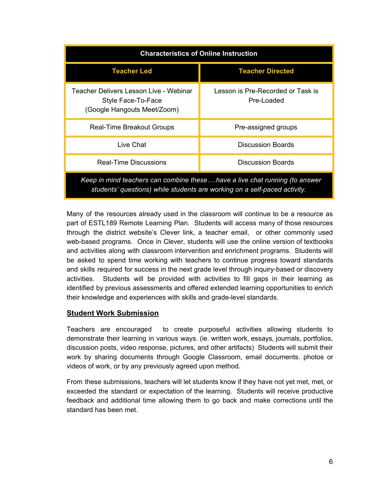| <b>Characteristics of Online Instruction</b>                                                                                                            |                                                 |  |
|---------------------------------------------------------------------------------------------------------------------------------------------------------|-------------------------------------------------|--|
| <b>Teacher Led</b>                                                                                                                                      | <b>Teacher Directed</b>                         |  |
| Teacher Delivers Lesson Live - Webinar<br>Style Face-To-Face<br>(Google Hangouts Meet/Zoom)                                                             | Lesson is Pre-Recorded or Task is<br>Pre-Loaded |  |
| <b>Real-Time Breakout Groups</b>                                                                                                                        | Pre-assigned groups                             |  |
| Live Chat                                                                                                                                               | <b>Discussion Boards</b>                        |  |
| <b>Discussion Boards</b><br>Real-Time Discussions                                                                                                       |                                                 |  |
| Keep in mind teachers can combine thesehave a live chat running (to answer<br>students' questions) while students are working on a self-paced activity. |                                                 |  |

Many of the resources already used in the classroom will continue to be a resource as part of ESTL189 Remote Learning Plan. Students will access many of those resources through the district website's Clever link, a teacher email, or other commonly used web-based programs. Once in Clever, students will use the online version of textbooks and activities along with classroom intervention and enrichment programs. Students will be asked to spend time working with teachers to continue progress toward standards and skills required for success in the next grade level through inquiry-based or discovery activities. Students will be provided with activities to fill gaps in their learning as identified by previous assessments and offered extended learning opportunities to enrich their knowledge and experiences with skills and grade-level standards.

#### **Student Work Submission**

Teachers are encouraged to create purposeful activities allowing students to demonstrate their learning in various ways. (ie. written work, essays, journals, portfolios, discussion posts, video response, pictures, and other artifacts) Students will submit their work by sharing documents through Google Classroom, email documents. photos or videos of work, or by any previously agreed upon method.

From these submissions, teachers will let students know if they have not yet met, met, or exceeded the standard or expectation of the learning. Students will receive productive feedback and additional time allowing them to go back and make corrections until the standard has been met.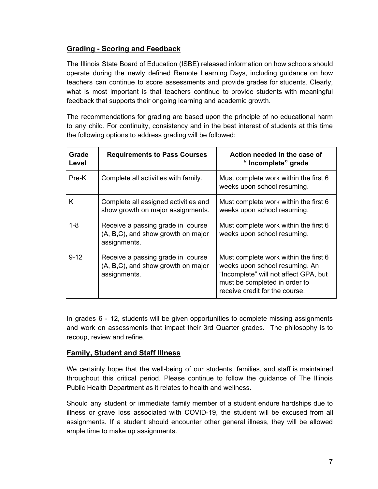#### **Grading - Scoring and Feedback**

The Illinois State Board of Education (ISBE) released information on how schools should operate during the newly defined Remote Learning Days, including guidance on how teachers can continue to score assessments and provide grades for students. Clearly, what is most important is that teachers continue to provide students with meaningful feedback that supports their ongoing learning and academic growth.

The recommendations for grading are based upon the principle of no educational harm to any child. For continuity, consistency and in the best interest of students at this time the following options to address grading will be followed:

| Grade<br>Level | <b>Requirements to Pass Courses</b>                                                     | Action needed in the case of<br>"Incomplete" grade                                                                                                                                  |
|----------------|-----------------------------------------------------------------------------------------|-------------------------------------------------------------------------------------------------------------------------------------------------------------------------------------|
| Pre-K          | Complete all activities with family.                                                    | Must complete work within the first 6<br>weeks upon school resuming.                                                                                                                |
| Κ              | Complete all assigned activities and<br>show growth on major assignments.               | Must complete work within the first 6<br>weeks upon school resuming.                                                                                                                |
| $1 - 8$        | Receive a passing grade in course<br>(A, B,C), and show growth on major<br>assignments. | Must complete work within the first 6<br>weeks upon school resuming.                                                                                                                |
| $9 - 12$       | Receive a passing grade in course<br>(A, B,C), and show growth on major<br>assignments. | Must complete work within the first 6<br>weeks upon school resuming. An<br>"Incomplete" will not affect GPA, but<br>must be completed in order to<br>receive credit for the course. |

In grades 6 - 12, students will be given opportunities to complete missing assignments and work on assessments that impact their 3rd Quarter grades. The philosophy is to recoup, review and refine.

#### **Family, Student and Staff Illness**

We certainly hope that the well-being of our students, families, and staff is maintained throughout this critical period. Please continue to follow the guidance of The Illinois Public Health Department as it relates to health and wellness.

Should any student or immediate family member of a student endure hardships due to illness or grave loss associated with COVID-19, the student will be excused from all assignments. If a student should encounter other general illness, they will be allowed ample time to make up assignments.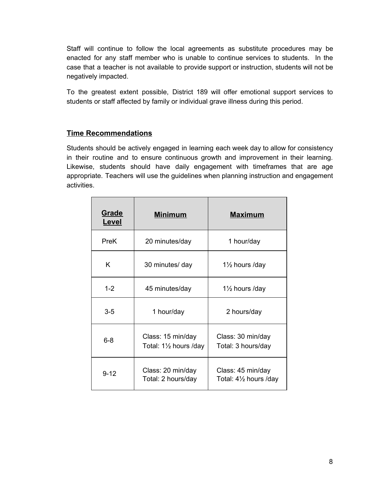Staff will continue to follow the local agreements as substitute procedures may be enacted for any staff member who is unable to continue services to students. In the case that a teacher is not available to provide support or instruction, students will not be negatively impacted.

To the greatest extent possible, District 189 will offer emotional support services to students or staff affected by family or individual grave illness during this period.

#### **Time Recommendations**

Students should be actively engaged in learning each week day to allow for consistency in their routine and to ensure continuous growth and improvement in their learning. Likewise, students should have daily engagement with timeframes that are age appropriate. Teachers will use the guidelines when planning instruction and engagement activities.

| Grade<br>Level | <b>Minimum</b>                                        | <b>Maximum</b>                              |
|----------------|-------------------------------------------------------|---------------------------------------------|
| <b>PreK</b>    | 20 minutes/day                                        | 1 hour/day                                  |
| K              | 30 minutes/ day                                       | $1\frac{1}{2}$ hours /day                   |
| $1 - 2$        | 45 minutes/day                                        | 1 <sup>1</sup> / <sub>2</sub> hours /day    |
| $3-5$          | 1 hour/day                                            | 2 hours/day                                 |
| $6 - 8$        | Class: 15 min/day<br>Total: $1\frac{1}{2}$ hours /day | Class: 30 min/day<br>Total: 3 hours/day     |
| $9 - 12$       | Class: 20 min/day<br>Total: 2 hours/day               | Class: 45 min/day<br>Total: 41/2 hours /day |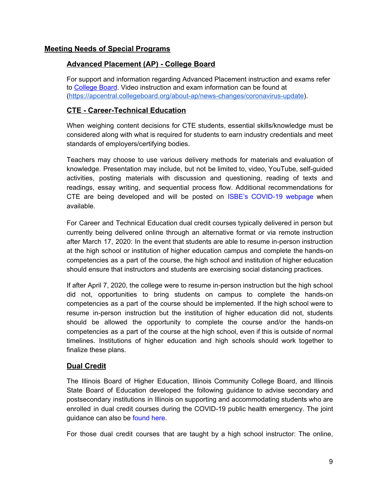#### **Meeting Needs of Special Programs**

#### **Advanced Placement (AP) - College Board**

For support and information regarding Advanced Placement instruction and exams refer t[o](https://apcentral.collegeboard.org/about-ap/news-changes/coronavirus-update) [College](https://apcentral.collegeboard.org/about-ap/news-changes/coronavirus-update) Board. Video instruction and exam [information](https://apcentral.collegeboard.org/about-ap/news-changes/coronavirus-update) can be found at [\(https://apcentral.collegeboard.org/about-ap/news-changes/coronavirus-update](https://apcentral.collegeboard.org/about-ap/news-changes/coronavirus-update)).

#### **CTE - Career-Technical Education**

When weighing content decisions for CTE students, essential skills/knowledge must be considered along with what is required for students to earn industry credentials and meet standards of employers/certifying bodies.

Teachers may choose to use various delivery methods for materials and evaluation of knowledge. Presentation may include, but not be limited to, video, YouTube, self-guided activities, posting materials with discussion and questioning, reading of texts and readings, essay writing, and sequential process flow. Additional recommendations for CTE are being developed and will be posted on [I](https://www.isbe.net/Pages/covid19.aspx)SBE's [COVID-19](https://www.isbe.net/Pages/covid19.aspx) webpage when available.

For Career and Technical Education dual credit courses typically delivered in person but currently being delivered online through an alternative format or via remote instruction after March 17, 2020: In the event that students are able to resume in-person instruction at the high school or institution of higher education campus and complete the hands-on competencies as a part of the course, the high school and institution of higher education should ensure that instructors and students are exercising social distancing practices.

If after April 7, 2020, the college were to resume in-person instruction but the high school did not, opportunities to bring students on campus to complete the hands-on competencies as a part of the course should be implemented. If the high school were to resume in-person instruction but the institution of higher education did not, students should be allowed the opportunity to complete the course and/or the hands-on competencies as a part of the course at the high school, even if this is outside of normal timelines. Institutions of higher education and high schools should work together to finalize these plans.

#### **Dual Credit**

The Illinois Board of Higher Education, Illinois Community College Board, and Illinois State Board of Education developed the following guidance to advise secondary and postsecondary institutions in Illinois on supporting and accommodating students who are enrolled in dual credit courses during the COVID-19 public health emergency. The joint guidance can also be [found](https://www.isbe.net/Documents/Joint-Dual-Credit-Guidance-During-Suspension-of-In-Person-Instruction.pdf) here.

For those dual credit courses that are taught by a high school instructor: The online,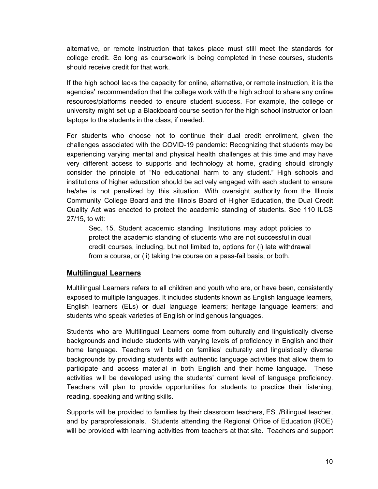alternative, or remote instruction that takes place must still meet the standards for college credit. So long as coursework is being completed in these courses, students should receive credit for that work.

If the high school lacks the capacity for online, alternative, or remote instruction, it is the agencies' recommendation that the college work with the high school to share any online resources/platforms needed to ensure student success. For example, the college or university might set up a Blackboard course section for the high school instructor or loan laptops to the students in the class, if needed.

For students who choose not to continue their dual credit enrollment, given the challenges associated with the COVID-19 pandemic: Recognizing that students may be experiencing varying mental and physical health challenges at this time and may have very different access to supports and technology at home, grading should strongly consider the principle of "No educational harm to any student." High schools and institutions of higher education should be actively engaged with each student to ensure he/she is not penalized by this situation. With oversight authority from the Illinois Community College Board and the Illinois Board of Higher Education, the Dual Credit Quality Act was enacted to protect the academic standing of students. See 110 ILCS 27/15, to wit:

Sec. 15. Student academic standing. Institutions may adopt policies to protect the academic standing of students who are not successful in dual credit courses, including, but not limited to, options for (i) late withdrawal from a course, or (ii) taking the course on a pass-fail basis, or both.

#### **Multilingual Learners**

Multilingual Learners refers to all children and youth who are, or have been, consistently exposed to multiple languages. It includes students known as English language learners, English learners (ELs) or dual language learners; heritage language learners; and students who speak varieties of English or indigenous languages.

Students who are Multilingual Learners come from culturally and linguistically diverse backgrounds and include students with varying levels of proficiency in English and their home language. Teachers will build on families' culturally and linguistically diverse backgrounds by providing students with authentic language activities that allow them to participate and access material in both English and their home language. These activities will be developed using the students' current level of language proficiency. Teachers will plan to provide opportunities for students to practice their listening, reading, speaking and writing skills.

Supports will be provided to families by their classroom teachers, ESL/Bilingual teacher, and by paraprofessionals. Students attending the Regional Office of Education (ROE) will be provided with learning activities from teachers at that site. Teachers and support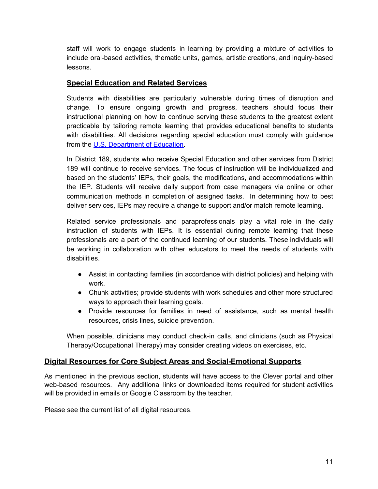staff will work to engage students in learning by providing a mixture of activities to include oral-based activities, thematic units, games, artistic creations, and inquiry-based lessons.

#### **Special Education and Related Services**

Students with disabilities are particularly vulnerable during times of disruption and change. To ensure ongoing growth and progress, teachers should focus their instructional planning on how to continue serving these students to the greatest extent practicable by tailoring remote learning that provides educational benefits to students with disabilities. All decisions regarding special education must comply with guidance from the [U](https://sites.ed.gov/idea/idea-files/q-and-a-providing-services-to-children-with-disabilities-during-the-coronavirus-disease-2019-outbreak/).S. [Department](https://sites.ed.gov/idea/idea-files/q-and-a-providing-services-to-children-with-disabilities-during-the-coronavirus-disease-2019-outbreak/) of Education.

In District 189, students who receive Special Education and other services from District 189 will continue to receive services. The focus of instruction will be individualized and based on the students' IEPs, their goals, the modifications, and accommodations within the IEP. Students will receive daily support from case managers via online or other communication methods in completion of assigned tasks. In determining how to best deliver services, IEPs may require a change to support and/or match remote learning.

Related service professionals and paraprofessionals play a vital role in the daily instruction of students with IEPs. It is essential during remote learning that these professionals are a part of the continued learning of our students. These individuals will be working in collaboration with other educators to meet the needs of students with disabilities.

- Assist in contacting families (in accordance with district policies) and helping with work.
- Chunk activities; provide students with work schedules and other more structured ways to approach their learning goals.
- Provide resources for families in need of assistance, such as mental health resources, crisis lines, suicide prevention.

When possible, clinicians may conduct check-in calls, and clinicians (such as Physical Therapy/Occupational Therapy) may consider creating videos on exercises, etc.

#### **Digital Resources for Core Subject Areas and Social-Emotional Supports**

As mentioned in the previous section, students will have access to the Clever portal and other web-based resources. Any additional links or downloaded items required for student activities will be provided in emails or Google Classroom by the teacher.

Please see the current list of all digital resources.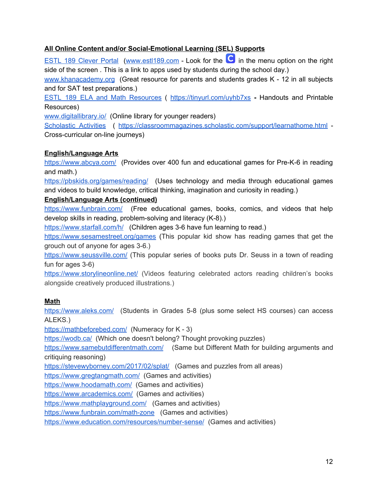#### **All Online Content and/or Social-Emotional Learning (SEL) Supports**

ESTL 189 [Clever](https://clever.com/oauth/authorize?channel=clever&client_id=4c63c1cf623dce82caac&confirmed=true&district_id=57a216fadef84101000002a0&redirect_uri=https%3A%2F%2Fclever.com%2Fin%2Fauth_callback&response_type=code&state=bdc48bfafd61bd27af2da0044a55e2cb6127559b3799e379010690f19477f6a9) Portal ([www.estl189.com](http://www.estl189.com/) - Look for the  $\mathbf C$  in the menu option on the right side of the screen . This is a link to apps used by students during the school day.)

[www.khanacademy.org](http://www.khanacademy.org/) (Great resource for parents and students grades K - 12 in all subjects and for SAT test preparations.)

ESTL 189 ELA and Math [Resources](https://drive.google.com/open?id=190pphoXgYTJI_HzOunZXJTANz_Yn1Hlp) ( <https://tinyurl.com/uyhb7xs> **-** Handouts and Printable Resources)

[www.digitallibrary.io/](http://www.digitallibrary.io/) (Online library for younger readers)

[Scholastic](https://classroommagazines.scholastic.com/support/learnathome.html) Activities ( <https://classroommagazines.scholastic.com/support/learnathome.html> -Cross-curricular on-line journeys)

#### **English/Language Arts**

<https://www.abcya.com/> (Provides over 400 fun and educational games for Pre-K-6 in reading and math.)

<https://pbskids.org/games/reading/> (Uses technology and media through educational games and videos to build knowledge, critical thinking, imagination and curiosity in reading.)

#### **English/Language Arts (continued)**

<https://www.funbrain.com/> (Free educational games, books, comics, and videos that help develop skills in reading, problem-solving and literacy (K-8).)

<https://www.starfall.com/h/> (Children ages 3-6 have fun learning to read.)

<https://www.sesamestreet.org/games> (This popular kid show has reading games that get the grouch out of anyone for ages 3-6.)

<https://www.seussville.com/> (This popular series of books puts Dr. Seuss in a town of reading fun for ages 3-6)

<https://www.storylineonline.net/> (Videos featuring celebrated actors reading children's books alongside creatively produced illustrations.)

#### **Math**

<https://www.aleks.com/> (Students in Grades 5-8 (plus some select HS courses) can access ALEKS.)

<https://mathbeforebed.com/> (Numeracy for K - 3)

<https://wodb.ca/> (Which one doesn't belong? Thought provoking puzzles)

<https://www.samebutdifferentmath.com/> (Same but Different Math for building arguments and critiquing reasoning)

<https://stevewyborney.com/2017/02/splat/> (Games and puzzles from all areas)

<https://www.gregtangmath.com/> (Games and activities)

<https://www.hoodamath.com/> (Games and activities)

<https://www.arcademics.com/> (Games and activities)

<https://www.mathplayground.com/> (Games and activities)

<https://www.funbrain.com/math-zone> (Games and activities)

<https://www.education.com/resources/number-sense/> (Games and activities)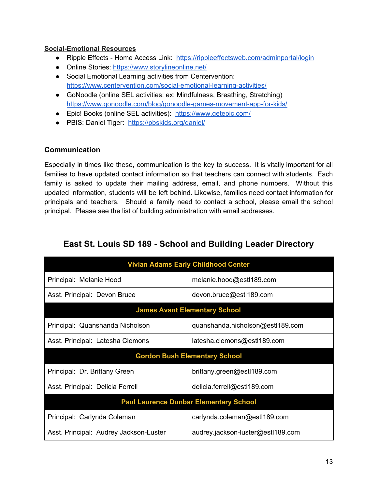#### **Social-Emotional Resources**

- Ripple Effects Home Access Link: <https://rippleeffectsweb.com/adminportal/login>
- Online Stories: <https://www.storylineonline.net/>
- Social Emotional Learning activities from Centervention: <https://www.centervention.com/social-emotional-learning-activities/>
- GoNoodle (online SEL activities; ex: Mindfulness, Breathing, Stretching) <https://www.gonoodle.com/blog/gonoodle-games-movement-app-for-kids/>
- Epic! Books (online SEL activities): <https://www.getepic.com/>
- PBIS: Daniel Tiger: <https://pbskids.org/daniel/>

#### **Communication**

Especially in times like these, communication is the key to success. It is vitally important for all families to have updated contact information so that teachers can connect with students. Each family is asked to update their mailing address, email, and phone numbers. Without this updated information, students will be left behind. Likewise, families need contact information for principals and teachers. Should a family need to contact a school, please email the school principal. Please see the list of building administration with email addresses.

| East St. Louis SD 189 - School and Building Leader Directory |  |  |  |  |  |
|--------------------------------------------------------------|--|--|--|--|--|
|--------------------------------------------------------------|--|--|--|--|--|

| <b>Vivian Adams Early Childhood Center</b> |                                               |  |  |
|--------------------------------------------|-----------------------------------------------|--|--|
| Principal: Melanie Hood                    | melanie.hood@estl189.com                      |  |  |
| Asst. Principal: Devon Bruce               | devon.bruce@estl189.com                       |  |  |
| <b>James Avant Elementary School</b>       |                                               |  |  |
| Principal: Quanshanda Nicholson            | quanshanda.nicholson@estl189.com              |  |  |
| Asst. Principal: Latesha Clemons           | latesha.clemons@estl189.com                   |  |  |
| <b>Gordon Bush Elementary School</b>       |                                               |  |  |
|                                            |                                               |  |  |
| Principal: Dr. Brittany Green              | brittany.green@estl189.com                    |  |  |
| Asst. Principal: Delicia Ferrell           | delicia.ferrell@estl189.com                   |  |  |
|                                            | <b>Paul Laurence Dunbar Elementary School</b> |  |  |
| Principal: Carlynda Coleman                | carlynda.coleman@estl189.com                  |  |  |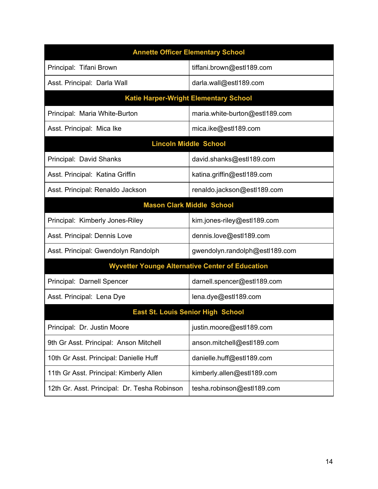| <b>Annette Officer Elementary School</b>     |                                                        |  |  |
|----------------------------------------------|--------------------------------------------------------|--|--|
| Principal: Tifani Brown                      | tiffani.brown@estl189.com                              |  |  |
| Asst. Principal: Darla Wall                  | darla.wall@estl189.com                                 |  |  |
|                                              | <b>Katie Harper-Wright Elementary School</b>           |  |  |
| Principal: Maria White-Burton                | maria.white-burton@estl189.com                         |  |  |
| Asst. Principal: Mica Ike                    | mica.ike@estl189.com                                   |  |  |
| <b>Lincoln Middle School</b>                 |                                                        |  |  |
| Principal: David Shanks                      | david.shanks@estl189.com                               |  |  |
| Asst. Principal: Katina Griffin              | katina.griffin@estl189.com                             |  |  |
| Asst. Principal: Renaldo Jackson             | renaldo.jackson@estl189.com                            |  |  |
|                                              | <b>Mason Clark Middle School</b>                       |  |  |
| Principal: Kimberly Jones-Riley              | kim.jones-riley@estl189.com                            |  |  |
| Asst. Principal: Dennis Love                 | dennis.love@estl189.com                                |  |  |
| Asst. Principal: Gwendolyn Randolph          | gwendolyn.randolph@estl189.com                         |  |  |
|                                              | <b>Wyvetter Younge Alternative Center of Education</b> |  |  |
| Principal: Darnell Spencer                   | darnell.spencer@estl189.com                            |  |  |
| Asst. Principal: Lena Dye                    | lena.dye@estl189.com                                   |  |  |
| <b>East St. Louis Senior High School</b>     |                                                        |  |  |
| Principal: Dr. Justin Moore                  | justin.moore@estl189.com                               |  |  |
| 9th Gr Asst. Principal: Anson Mitchell       | anson.mitchell@estl189.com                             |  |  |
| 10th Gr Asst. Principal: Danielle Huff       | danielle.huff@estl189.com                              |  |  |
| 11th Gr Asst. Principal: Kimberly Allen      | kimberly.allen@estl189.com                             |  |  |
| 12th Gr. Asst. Principal: Dr. Tesha Robinson | tesha.robinson@estl189.com                             |  |  |